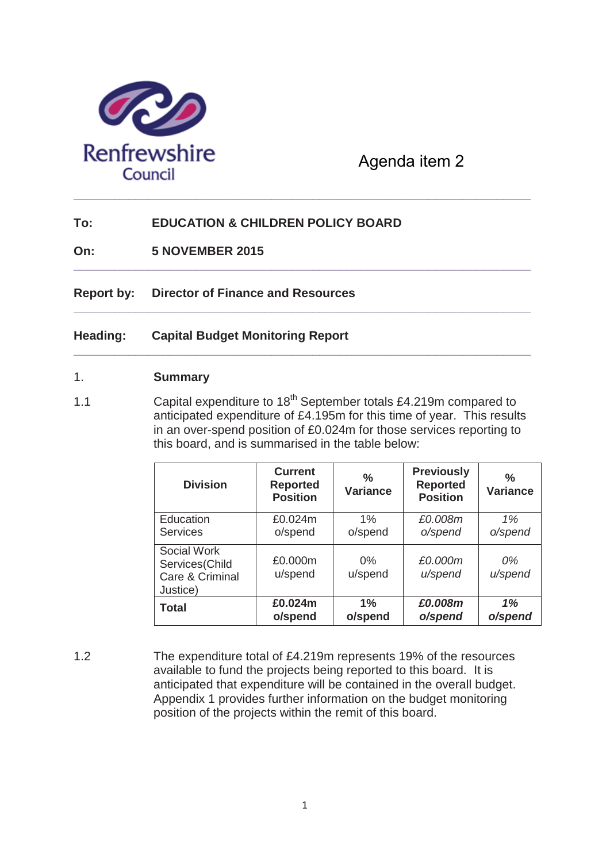

# Agenda item 2

## **To: EDUCATION & CHILDREN POLICY BOARD**

**On: 5 NOVEMBER 2015**

**Report by: Director of Finance and Resources**

#### **Heading: Capital Budget Monitoring Report**

#### 1. **Summary**

1.1 Capital expenditure to 18<sup>th</sup> September totals £4.219m compared to anticipated expenditure of £4.195m for this time of year. This results in an over-spend position of £0.024m for those services reporting to this board, and is summarised in the table below:

**\_\_\_\_\_\_\_\_\_\_\_\_\_\_\_\_\_\_\_\_\_\_\_\_\_\_\_\_\_\_\_\_\_\_\_\_\_\_\_\_\_\_\_\_\_\_\_\_\_\_\_\_\_\_\_\_\_\_\_\_\_\_\_\_\_\_\_** 

**\_\_\_\_\_\_\_\_\_\_\_\_\_\_\_\_\_\_\_\_\_\_\_\_\_\_\_\_\_\_\_\_\_\_\_\_\_\_\_\_\_\_\_\_\_\_\_\_\_\_\_\_\_\_\_\_\_\_\_\_\_\_\_\_\_\_\_** 

**\_\_\_\_\_\_\_\_\_\_\_\_\_\_\_\_\_\_\_\_\_\_\_\_\_\_\_\_\_\_\_\_\_\_\_\_\_\_\_\_\_\_\_\_\_\_\_\_\_\_\_\_\_\_\_\_\_\_\_\_\_\_\_\_\_\_\_** 

| <b>Division</b>                                              | <b>Current</b><br><b>Reported</b><br><b>Position</b> | ℅<br><b>Variance</b> | <b>Previously</b><br><b>Reported</b><br><b>Position</b> | $\frac{0}{0}$<br><b>Variance</b> |
|--------------------------------------------------------------|------------------------------------------------------|----------------------|---------------------------------------------------------|----------------------------------|
| Education                                                    | £0.024m                                              | $1\%$                | £0.008m                                                 | 1%                               |
| <b>Services</b>                                              | o/spend                                              | o/spend              | o/spend                                                 | o/spend                          |
| Social Work<br>Services(Child<br>Care & Criminal<br>Justice) | £0.000m<br>u/spend                                   | $0\%$<br>u/spend     | £0.000m<br>u/spend                                      | 0%<br>u/spend                    |
| <b>Total</b>                                                 | £0.024m                                              | $1\%$                | £0.008m                                                 | 1%                               |
|                                                              | o/spend                                              | o/spend              | o/spend                                                 | o/spend                          |

1.2 The expenditure total of £4.219m represents 19% of the resources available to fund the projects being reported to this board. It is anticipated that expenditure will be contained in the overall budget. Appendix 1 provides further information on the budget monitoring position of the projects within the remit of this board.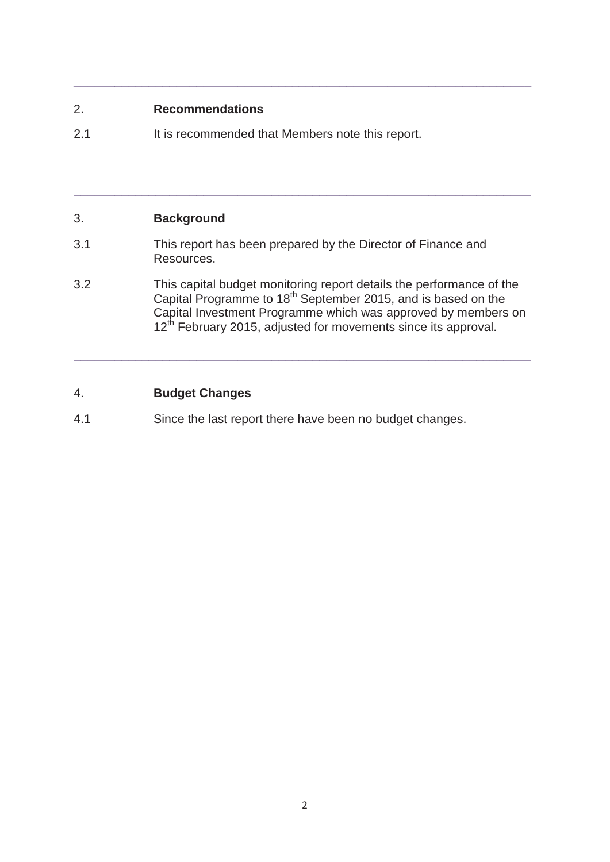### 2. **Recommendations**

2.1 It is recommended that Members note this report.

# 3. **Background**

- 3.1 This report has been prepared by the Director of Finance and Resources.
- 3.2 This capital budget monitoring report details the performance of the Capital Programme to  $18<sup>th</sup>$  September 2015, and is based on the Capital Investment Programme which was approved by members on 12<sup>th</sup> February 2015, adjusted for movements since its approval.

**\_\_\_\_\_\_\_\_\_\_\_\_\_\_\_\_\_\_\_\_\_\_\_\_\_\_\_\_\_\_\_\_\_\_\_\_\_\_\_\_\_\_\_\_\_\_\_\_\_\_\_\_\_\_\_\_\_\_\_\_\_\_\_\_\_\_\_**

**\_\_\_\_\_\_\_\_\_\_\_\_\_\_\_\_\_\_\_\_\_\_\_\_\_\_\_\_\_\_\_\_\_\_\_\_\_\_\_\_\_\_\_\_\_\_\_\_\_\_\_\_\_\_\_\_\_\_\_\_\_\_\_\_\_\_\_**

**\_\_\_\_\_\_\_\_\_\_\_\_\_\_\_\_\_\_\_\_\_\_\_\_\_\_\_\_\_\_\_\_\_\_\_\_\_\_\_\_\_\_\_\_\_\_\_\_\_\_\_\_\_\_\_\_\_\_\_\_\_\_\_\_\_\_\_**

# 4. **Budget Changes**

4.1 Since the last report there have been no budget changes.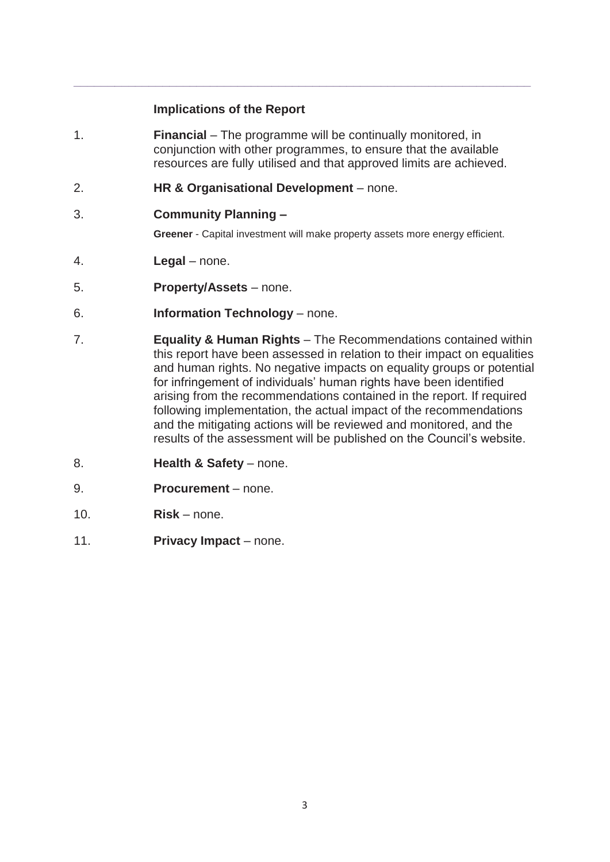#### **Implications of the Report**

1. **Financial** – The programme will be continually monitored, in conjunction with other programmes, to ensure that the available resources are fully utilised and that approved limits are achieved.

**\_\_\_\_\_\_\_\_\_\_\_\_\_\_\_\_\_\_\_\_\_\_\_\_\_\_\_\_\_\_\_\_\_\_\_\_\_\_\_\_\_\_\_\_\_\_\_\_\_\_\_\_\_\_\_\_\_\_\_\_\_\_\_\_\_\_\_**

- 2. **HR & Organisational Development**  none.
- 3. **Community Planning –**

**Greener** - Capital investment will make property assets more energy efficient.

- 4. **Legal**  none.
- 5. **Property/Assets**  none.
- 6. **Information Technology** none.
- 7. **Equality & Human Rights**  The Recommendations contained within this report have been assessed in relation to their impact on equalities and human rights. No negative impacts on equality groups or potential for infringement of individuals' human rights have been identified arising from the recommendations contained in the report. If required following implementation, the actual impact of the recommendations and the mitigating actions will be reviewed and monitored, and the results of the assessment will be published on the Council's website.
- 8. **Health & Safety** none.
- 9. **Procurement**  none.
- 10. **Risk** none.
- 11. **Privacy Impact**  none.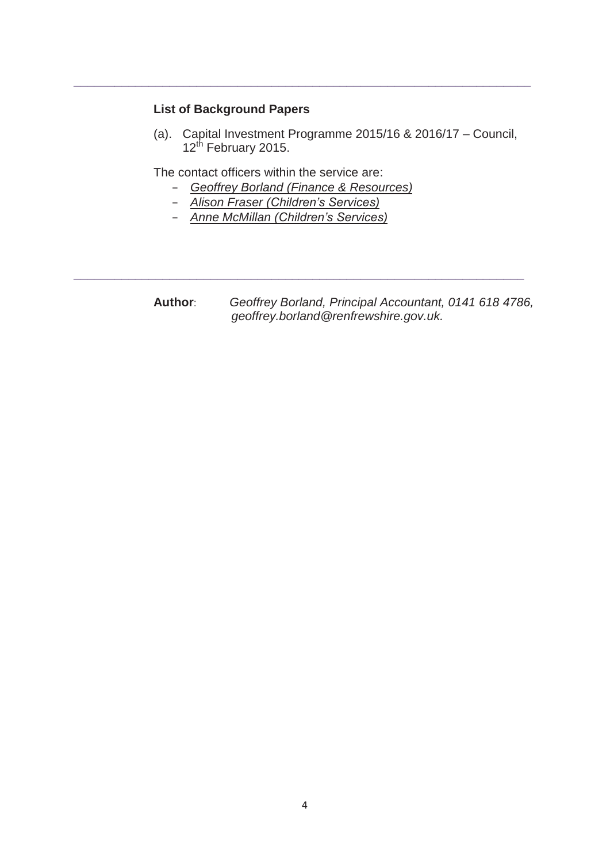### **List of Background Papers**

(a). Capital Investment Programme 2015/16 & 2016/17 – Council, 12<sup>th</sup> February 2015.

The contact officers within the service are:

– *Geoffrey Borland (Finance & Resources)*

**\_\_\_\_\_\_\_\_\_\_\_\_\_\_\_\_\_\_\_\_\_\_\_\_\_\_\_\_\_\_\_\_\_\_\_\_\_\_\_\_\_\_\_\_\_\_\_\_\_\_\_\_\_\_\_\_\_\_\_\_\_\_\_\_\_\_**

**\_\_\_\_\_\_\_\_\_\_\_\_\_\_\_\_\_\_\_\_\_\_\_\_\_\_\_\_\_\_\_\_\_\_\_\_\_\_\_\_\_\_\_\_\_\_\_\_\_\_\_\_\_\_\_\_\_\_\_\_\_\_\_\_\_\_\_**

- *Alison Fraser (Children's Services)*
- *Anne McMillan (Children's Services)*

**Author**: *Geoffrey Borland, Principal Accountant, 0141 618 4786,*  *geoffrey.borland@renfrewshire.gov.uk.*